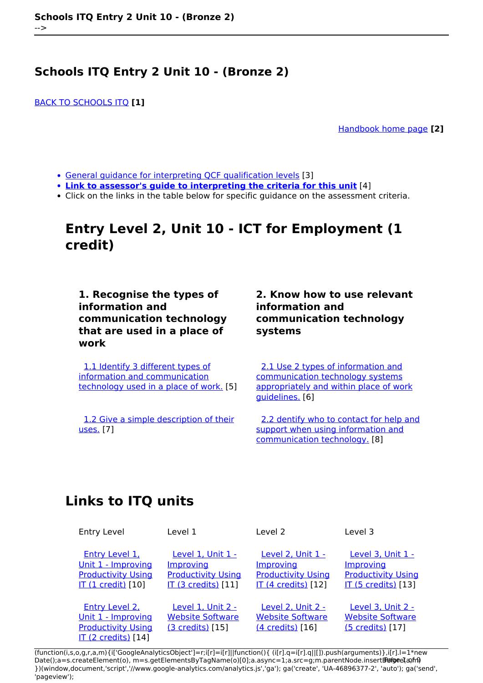[BACK TO SCHOOLS ITQ](https://theingots.org/community/ITQ_unit_development) **[1]**

[Handbook home page](https://theingots.org/community/handbook2) **[2]**

- [General guidance for interpreting QCF qualification levels](https://theingots.org/community/QCF_levels) [3]
- **[Link to assessor's guide to interpreting the criteria for this unit](https://theingots.org/community/SIEL2U1X)** [4]
- Click on the links in the table below for specific guidance on the assessment criteria.

## **Entry Level 2, Unit 10 - ICT for Employment (1 credit)**

**1. Recognise the types of information and communication technology that are used in a place of work**

 [1.1 Identify 3 different types of](https://theingots.org/community/siel2u10x#1.1) [information and communication](https://theingots.org/community/siel2u10x#1.1) [technology used in a place of work.](https://theingots.org/community/siel2u10x#1.1) [5]

 [1.2 Give a simple description of their](https://theingots.org/community/siel2u10x#1.2) [uses.](https://theingots.org/community/siel2u10x#1.2) [7]

### **2. Know how to use relevant information and communication technology systems**

 [2.1 Use 2 types of information and](https://theingots.org/community/siel2u10x#2.1) [communication technology systems](https://theingots.org/community/siel2u10x#2.1) [appropriately and within place of work](https://theingots.org/community/siel2u10x#2.1) [guidelines.](https://theingots.org/community/siel2u10x#2.1) [6]

 [2.2 dentify who to contact for help and](https://theingots.org/community/siel2u10x#2.2) [support when using information and](https://theingots.org/community/siel2u10x#2.2) [communication technology.](https://theingots.org/community/siel2u10x#2.2) [8]

# **Links to ITQ units**

| <b>Entry Level</b>                                                                                     | Level 1                                                                                    | Level 2                                                                                          | Level 3                                                                                          |
|--------------------------------------------------------------------------------------------------------|--------------------------------------------------------------------------------------------|--------------------------------------------------------------------------------------------------|--------------------------------------------------------------------------------------------------|
| Entry Level 1.<br>Unit 1 - Improving<br><b>Productivity Using</b><br>IT (1 credit) [10]                | <u>Level 1. Unit 1 - </u><br>Improving<br><b>Productivity Using</b><br>IT (3 credits) [11] | <b>Level 2. Unit 1 -</b><br>Improving<br><b>Productivity Using</b><br><b>IT (4 credits)</b> [12] | <u>Level 3. Unit 1 -</u><br><b>Improving</b><br><b>Productivity Using</b><br>IT (5 credits) [13] |
| <b>Entry Level 2.</b><br>Unit 1 - Improving<br><b>Productivity Using</b><br><b>IT (2 credits)</b> [14] | Level 1, Unit 2 -<br><b>Website Software</b><br>(3 credits) [15]                           | <b>Level 2, Unit 2 -</b><br><b>Website Software</b><br>(4 credits) [16]                          | <b>Level 3, Unit 2 -</b><br><b>Website Software</b><br>(5 credits) [17]                          |

(function(i,s,o,g,r,a,m){i['GoogleAnalyticsObject']=r;i[r]=i[r]||function(){ (i[r].q=i[r].q||[]).push(arguments)},i[r].l=1\*new Date();a=s.createElement(o), m=s.getElementsByTagName(o)[0];a.async=1;a.src=g;m.parentNode.insertBහ@eetฺaภฺfr9 })(window,document,'script','//www.google-analytics.com/analytics.js','ga'); ga('create', 'UA-46896377-2', 'auto'); ga('send', 'pageview');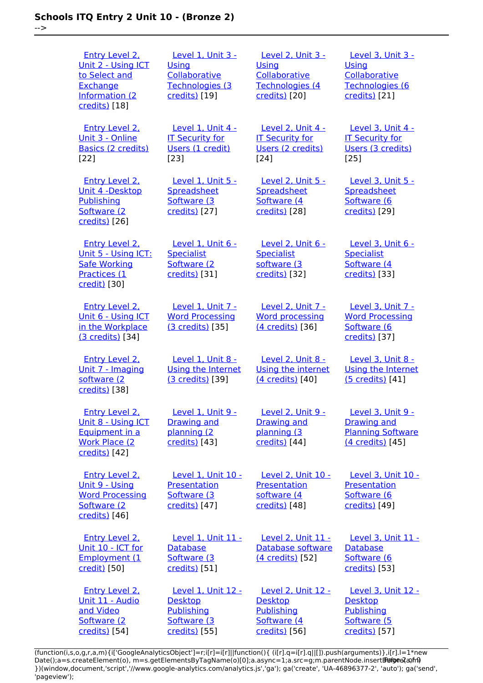-->

| <b>Entry Level 2.</b><br>Unit 2 - Using ICT<br>to Select and<br>Exchange<br>Information (2<br>credits) [18] | Level 1, Unit 3 -<br>Using<br>Collaborative<br>Technologies (3<br>credits) [19]     | Level 2, Unit 3 -<br>Using<br>Collaborative<br>Technologies (4<br>credits) [20]           | Level 3, Unit 3 -<br>Using<br>Collaborative<br>Technologies (6<br>credits) [21]           |
|-------------------------------------------------------------------------------------------------------------|-------------------------------------------------------------------------------------|-------------------------------------------------------------------------------------------|-------------------------------------------------------------------------------------------|
| Entry Level 2.<br>Unit 3 - Online<br>Basics (2 credits)<br>[22]                                             | Level 1. Unit 4 -<br><b>IT Security for</b><br>Users (1 credit)<br>[23]             | Level 2, Unit 4 -<br><b>IT Security for</b><br>Users (2 credits)<br>[24]                  | <b>Level 3. Unit 4 -</b><br><b>IT Security for</b><br>Users (3 credits)<br>[25]           |
| <b>Entry Level 2.</b><br>Unit 4 -Desktop<br>Publishing<br>Software (2<br>credits) [26]                      | Level 1, Unit 5 -<br>Spreadsheet<br>Software (3<br>credits) [27]                    | Level 2, Unit 5 -<br>Spreadsheet<br>Software (4)<br>credits) [28]                         | Level 3, Unit 5 -<br>Spreadsheet<br>Software (6<br>credits) [29]                          |
| <b>Entry Level 2.</b><br>Unit 5 - Using ICT:<br><b>Safe Working</b><br>Practices (1<br>credit) [30]         | Level 1, Unit 6 -<br><b>Specialist</b><br>Software (2<br>credits) [31]              | Level 2, Unit 6 -<br><b>Specialist</b><br>software (3<br>credits) [32]                    | Level 3, Unit 6 -<br><b>Specialist</b><br>Software (4<br>credits) [33]                    |
| Entry Level 2.<br>Unit 6 - Using ICT<br>in the Workplace<br>(3 credits) [34]                                | <b>Level 1. Unit 7 -</b><br><b>Word Processing</b><br>(3 credits) [35]              | Level 2, Unit 7 -<br><b>Word processing</b><br>(4 credits) [36]                           | Level 3. Unit 7 -<br><b>Word Processing</b><br>Software (6<br>credits) [37]               |
| <b>Entry Level 2.</b><br>Unit 7 - Imaging<br>software (2<br>credits) [38]                                   | Level 1, Unit 8 -<br><b>Using the Internet</b><br>(3 credits) [39]                  | <b>Level 2, Unit 8 -</b><br>Using the internet<br>(4 credits) [40]                        | Level 3, Unit 8 -<br>Using the Internet<br>(5 credits) [41]                               |
| <b>Entry Level 2.</b><br>Unit 8 - Using ICT<br>Equipment in a<br><b>Work Place (2)</b><br>credits) [42]     | Level 1, Unit 9 -<br><b>Drawing and</b><br>planning (2<br>credits) [43]             | <b>Level 2, Unit 9 -</b><br><b>Drawing and</b><br>planning (3<br>credits) [44]            | Level 3, Unit 9 -<br><b>Drawing and</b><br><b>Planning Software</b><br>(4 credits) [45]   |
| <b>Entry Level 2.</b><br>Unit 9 - Using<br><b>Word Processing</b><br>Software (2<br>credits) [46]           | Level 1, Unit 10 -<br>Presentation<br>Software (3)<br>credits) [47]                 | Level 2, Unit 10 -<br>Presentation<br>software (4<br>credits) [48]                        | Level 3, Unit 10 -<br>Presentation<br>Software (6<br>credits) [49]                        |
| <b>Entry Level 2.</b><br>Unit 10 - ICT for<br>Employment (1<br>credit) [50]                                 | Level 1, Unit 11 -<br><b>Database</b><br>Software (3)<br>credits) [51]              | <b>Level 2, Unit 11 -</b><br>Database software<br>(4 credits) [52]                        | Level 3, Unit 11 -<br><b>Database</b><br>Software (6<br>credits) [53]                     |
| <b>Entry Level 2.</b><br>Unit 11 - Audio<br>and Video<br>Software (2<br>credits) [54]                       | Level 1, Unit 12 -<br><b>Desktop</b><br>Publishing<br>Software (3)<br>credits) [55] | <b>Level 2, Unit 12 -</b><br><b>Desktop</b><br>Publishing<br>Software (4<br>credits) [56] | <b>Level 3, Unit 12 -</b><br><b>Desktop</b><br>Publishing<br>Software (5<br>credits) [57] |

(function(i,s,o,g,r,a,m){i['GoogleAnalyticsObject']=r;i[r]=i[r]||function(){ (i[r].q=i[r].q||[]).push(arguments)},i[r].l=1\*new Date();a=s.createElement(o), m=s.getElementsByTagName(o)[0];a.async=1;a.src=g;m.parentNode.insert**Bෂ@e**ද?aກກ })(window,document,'script','//www.google-analytics.com/analytics.js','ga'); ga('create', 'UA-46896377-2', 'auto'); ga('send', 'pageview'); Paggre2a, nA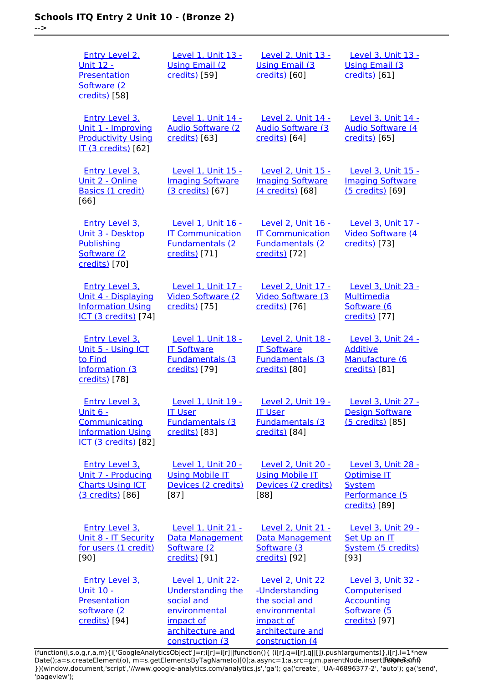-->

| <b>Entry Level 2.</b><br><u> Unit 12 -</u><br>Presentation<br>Software (2<br>credits) [58]                           | Level 1, Unit 13 -<br><b>Using Email (2)</b><br>credits) [59]                                                                           | Level 2, Unit 13 -<br><b>Using Email (3)</b><br>credits) [60]                                                             | Level 3, Unit 13 -<br><b>Using Email (3)</b><br>credits) [61]                                |
|----------------------------------------------------------------------------------------------------------------------|-----------------------------------------------------------------------------------------------------------------------------------------|---------------------------------------------------------------------------------------------------------------------------|----------------------------------------------------------------------------------------------|
| <b>Entry Level 3.</b><br>Unit 1 - Improving<br><b>Productivity Using</b><br>IT (3 credits) [62]                      | Level 1, Unit 14 -<br><b>Audio Software (2)</b><br>credits) [63]                                                                        | Level 2, Unit 14 -<br><b>Audio Software (3)</b><br>credits) [64]                                                          | Level 3, Unit 14 -<br><b>Audio Software (4)</b><br>credits) [65]                             |
| Entry Level 3.<br>Unit 2 - Online<br>Basics (1 credit)<br>[66]                                                       | Level 1, Unit 15 -<br><b>Imaging Software</b><br>(3 credits) [67]                                                                       | Level 2, Unit 15 -<br><b>Imaging Software</b><br>(4 credits) [68]                                                         | Level 3, Unit 15 -<br><b>Imaging Software</b><br>(5 credits) [69]                            |
| <b>Entry Level 3.</b><br>Unit 3 - Desktop<br>Publishing<br>Software (2<br>credits) [70]                              | Level 1, Unit 16 -<br><b>IT Communication</b><br><b>Fundamentals (2</b><br>credits) [71]                                                | Level 2, Unit 16 -<br><b>IT Communication</b><br><b>Fundamentals (2)</b><br>credits) [72]                                 | Level 3, Unit 17 -<br>Video Software (4<br>credits) [73]                                     |
| <b>Entry Level 3.</b><br>Unit 4 - Displaying<br><b>Information Using</b><br><b>ICT (3 credits)</b> [74]              | Level 1, Unit 17 -<br><b>Video Software (2)</b><br>credits) [75]                                                                        | Level 2, Unit 17 -<br><b>Video Software (3)</b><br>credits) [76]                                                          | Level 3, Unit 23 -<br><b>Multimedia</b><br>Software (6<br>credits) [77]                      |
| <b>Entry Level 3.</b><br>Unit 5 - Using ICT<br>to Find<br>Information (3<br>credits) [78]                            | Level 1, Unit 18 -<br><b>IT Software</b><br><b>Fundamentals (3)</b><br>credits) [79]                                                    | <b>Level 2, Unit 18 -</b><br><b>IT Software</b><br><b>Fundamentals (3</b><br>credits) [80]                                | Level 3, Unit 24 -<br><b>Additive</b><br>Manufacture (6<br>credits) [81]                     |
| <b>Entry Level 3.</b><br><u>Unit 6 -</u><br>Communicating<br><b>Information Using</b><br><b>ICT (3 credits)</b> [82] | Level 1, Unit 19 -<br><b>IT User</b><br><b>Fundamentals (3)</b><br>credits) [83]                                                        | Level 2, Unit 19 -<br><b>IT User</b><br><b>Fundamentals (3)</b><br>credits) [84]                                          | Level 3, Unit 27 -<br><b>Design Software</b><br>(5 credits) [85]                             |
| Entry Level 3.<br>Unit 7 - Producing<br><b>Charts Using ICT</b><br>(3 credits) [86]                                  | Level 1, Unit 20 -<br><b>Using Mobile IT</b><br>Devices (2 credits)<br>$[87]$                                                           | Level 2, Unit 20 -<br><b>Using Mobile IT</b><br>Devices (2 credits)<br>[88]                                               | Level 3, Unit 28 -<br><b>Optimise IT</b><br><b>System</b><br>Performance (5<br>credits) [89] |
| <b>Entry Level 3.</b><br>Unit 8 - IT Security<br>for users (1 credit)<br>[90]                                        | Level 1, Unit 21 -<br>Data Management<br>Software (2<br>credits) [91]                                                                   | <b>Level 2, Unit 21 -</b><br>Data Management<br>Software (3<br>credits) [92]                                              | Level 3, Unit 29 -<br>Set Up an IT<br>System (5 credits)<br>[93]                             |
| <b>Entry Level 3.</b><br><u> Unit 10 -</u><br>Presentation<br>software (2<br>credits) [94]                           | Level 1, Unit 22-<br><b>Understanding the</b><br>social and<br>environmental<br><u>impact of</u><br>architecture and<br>construction (3 | Level 2, Unit 22<br>-Understanding<br>the social and<br>environmental<br>impact of<br>architecture and<br>construction (4 | Level 3, Unit 32 -<br>Computerised<br><b>Accounting</b><br>Software (5<br>credits) [97]      |

[\(function\(i,s,o,g,r,a,m\){i\['GoogleAnalyticsObject'\]=r;i\[r\]=i\[r\]||function\(\){ \(i\[r\].q=i\[r\].q||\[\]\).push\(arguments\)},i\[r\].l=1\\*new](https://theingots.org/community/sil1u22) Date();a=s.createElement(o), m=s.getElementsByTagName(o)[0];a.async=1;a.src=g;m.parentNode.insert**Before**e{a,mf} [}\)\(window,document,'script','//www.google-analytics.com/analytics.js','ga'\); ga\('create', 'UA-46896377-2', 'auto'\); ga\('send',](https://theingots.org/community/sil1u22) ['pageview'\);](https://theingots.org/community/sil1u22) Pangre3a, n9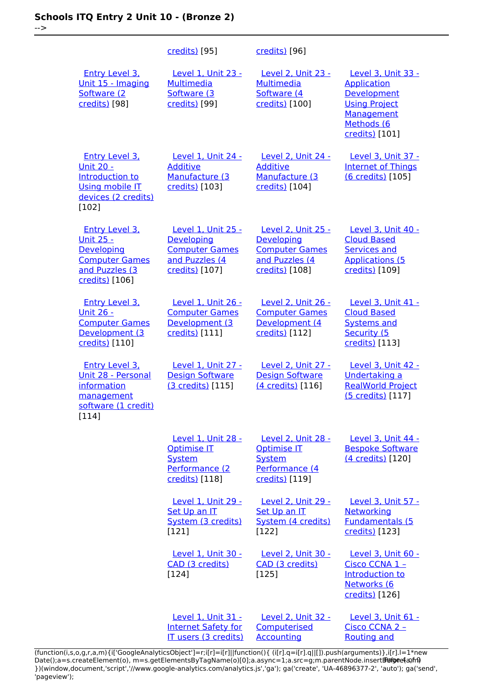-->

|                                                                                                                              | credits) [95]                                                                                 | credits) [96]                                                                                        |                                                                                                                                      |
|------------------------------------------------------------------------------------------------------------------------------|-----------------------------------------------------------------------------------------------|------------------------------------------------------------------------------------------------------|--------------------------------------------------------------------------------------------------------------------------------------|
| <b>Entry Level 3,</b><br>Unit 15 - Imaging<br>Software (2<br>credits) [98]                                                   | Level 1, Unit 23 -<br><b>Multimedia</b><br>Software (3<br>credits) [99]                       | Level 2, Unit 23 -<br><b>Multimedia</b><br>Software (4<br>credits) [100]                             | <b>Level 3. Unit 33 -</b><br><b>Application</b><br>Development<br><b>Using Project</b><br>Management<br>Methods (6<br>credits) [101] |
| <b>Entry Level 3.</b><br><b>Unit 20 -</b><br>Introduction to<br><b>Using mobile IT</b><br>devices (2 credits)<br>$[102]$     | Level 1, Unit 24 -<br><b>Additive</b><br>Manufacture (3<br>credits) [103]                     | <b>Level 2, Unit 24 -</b><br><b>Additive</b><br>Manufacture (3<br>credits) [104]                     | Level 3, Unit 37 -<br><b>Internet of Things</b><br>(6 credits) [105]                                                                 |
| <b>Entry Level 3.</b><br><u> Unit 25 -</u><br><b>Developing</b><br><b>Computer Games</b><br>and Puzzles (3<br>credits) [106] | Level 1, Unit 25 -<br>Developing<br><b>Computer Games</b><br>and Puzzles (4<br>credits) [107] | <b>Level 2, Unit 25 -</b><br>Developing<br><b>Computer Games</b><br>and Puzzles (4<br>credits) [108] | Level 3, Unit 40 -<br><b>Cloud Based</b><br><b>Services and</b><br><b>Applications (5</b><br>credits) [109]                          |
| <b>Entry Level 3.</b><br><u> Unit 26 -</u><br><b>Computer Games</b><br>Development (3<br>credits) [110]                      | Level 1, Unit 26 -<br><b>Computer Games</b><br>Development (3<br>credits) [111]               | Level 2, Unit 26 -<br><b>Computer Games</b><br>Development (4<br>credits) [112]                      | <b>Level 3, Unit 41 -</b><br><b>Cloud Based</b><br><b>Systems and</b><br>Security (5<br>credits) [113]                               |
| <b>Entry Level 3.</b><br>Unit 28 - Personal<br>information<br>management<br>software (1 credit)<br>[114]                     | Level 1, Unit 27 -<br><b>Design Software</b><br>(3 credits) [115]                             | Level 2, Unit 27 -<br><b>Design Software</b><br>(4 credits) [116]                                    | Level 3, Unit 42 -<br><b>Undertaking a</b><br><b>RealWorld Project</b><br>(5 credits) [117]                                          |
|                                                                                                                              | Level 1, Unit 28 -<br><b>Optimise IT</b><br><b>System</b><br>Performance (2<br>credits) [118] | Level 2, Unit 28 -<br><b>Optimise IT</b><br>System<br>Performance (4<br>credits) [119]               | Level 3, Unit 44 -<br><b>Bespoke Software</b><br>(4 credits) [120]                                                                   |
|                                                                                                                              | Level 1, Unit 29 -<br>Set Up an IT<br>System (3 credits)<br>[121]                             | Level 2, Unit 29 -<br>Set Up an IT<br>System (4 credits)<br>[122]                                    | Level 3, Unit 57 -<br>Networking<br><b>Fundamentals (5</b><br>credits) [123]                                                         |
|                                                                                                                              | Level 1, Unit 30 -<br>CAD (3 credits)<br>[124]                                                | <b>Level 2, Unit 30 -</b><br>CAD (3 credits)<br>[125]                                                | Level 3, Unit 60 -<br>Cisco CCNA 1-<br><b>Introduction to</b><br>Networks (6<br>credits) [126]                                       |
|                                                                                                                              | Level 1, Unit 31 -<br><b>Internet Safety for</b><br>IT users (3 credits)                      | Level 2, Unit 32 -<br>Computerised<br><b>Accounting</b>                                              | Level 3, Unit 61 -<br>Cisco CCNA 2 -<br><b>Routing and</b>                                                                           |

(function(i,s,o,g,r,a,m){i['GoogleAnalyticsObject']=r;i[r]=i[r]||function(){ (i[r].q=i[r].q||[]).push(arguments)},i[r].l=1\*new Date();a=s.createElement(o), m=s.getElementsByTagName(o)[0];a.async=1;a.src=g;m.parentNode.insert**Bෂ@e4**a,m9 })(window,document,'script','//www.google-analytics.com/analytics.js','ga'); ga('create', 'UA-46896377-2', 'auto'); ga('send', 'pageview'); Page 4 of 9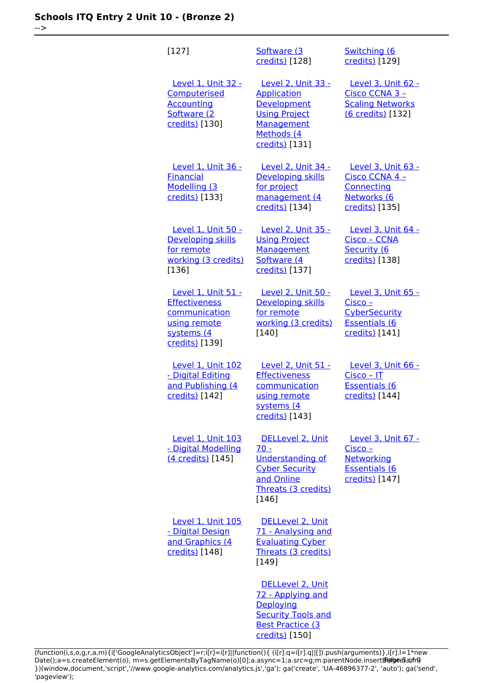-->

| [127]                                                                                                       | Software (3<br>credits) [128]                                                                                                        | Switching (6<br>credits) [129]                                                                                  |
|-------------------------------------------------------------------------------------------------------------|--------------------------------------------------------------------------------------------------------------------------------------|-----------------------------------------------------------------------------------------------------------------|
| Level 1, Unit 32 -<br>Computerised<br><b>Accounting</b><br>Software (2<br>credits) [130]                    | Level 2, Unit 33 -<br><b>Application</b><br>Development<br><b>Using Project</b><br><b>Management</b><br>Methods (4<br>credits) [131] | Level 3, Unit 62 -<br>Cisco CCNA 3 -<br><b>Scaling Networks</b><br>(6 credits) [132]                            |
| <b>Level 1, Unit 36 -</b><br><b>Financial</b><br>Modelling (3<br>credits) [133]                             | Level 2, Unit 34 -<br>Developing skills<br>for project<br>management (4<br>credits) [134]                                            | <b>Level 3, Unit 63 -</b><br>Cisco CCNA 4 -<br>Connecting<br>Networks (6<br>credits) [135]                      |
| Level 1, Unit 50 -<br>Developing skills<br>for remote<br>working (3 credits)<br>[136]                       | Level 2, Unit 35 -<br><b>Using Project</b><br><b>Management</b><br>Software (4<br>credits) [137]                                     | Level 3, Unit 64 -<br><u> Cisco – CCNA</u><br>Security (6<br>credits) [138]                                     |
| Level 1, Unit 51 -<br><b>Effectiveness</b><br>communication<br>using remote<br>systems (4<br>credits) [139] | Level 2, Unit 50 -<br>Developing skills<br>for remote<br>working (3 credits)<br>$[140]$                                              | Level 3, Unit 65 -<br><u> Cisco – </u><br><b>CyberSecurity</b><br><b>Essentials (6</b><br><u>credits)</u> [141] |
| Level 1, Unit 102<br>- Digital Editing<br>and Publishing (4<br>credits) [142]                               | Level 2, Unit 51 -<br><b>Effectiveness</b><br>communication<br>using remote<br>systems (4<br>credits) [143]                          | Level 3, Unit 66 -<br><u> Cisco – IT</u><br><b>Essentials (6</b><br>credits) [144]                              |
| Level 1, Unit 103<br>- Digital Modelling<br>(4 credits) [145]                                               | DELLevel 2, Unit<br>$70 -$<br><b>Understanding of</b><br><b>Cyber Security</b><br>and Online<br>Threats (3 credits)<br>[146]         | Level 3, Unit 67 -<br>Cisco -<br>Networking<br><b>Essentials (6</b><br>credits) [147]                           |
| <b>Level 1, Unit 105</b><br>- Digital Design<br>and Graphics (4<br>credits) [148]                           | DELLevel 2, Unit<br>71 - Analysing and<br><b>Evaluating Cyber</b><br>Threats (3 credits)<br>[149]                                    |                                                                                                                 |
|                                                                                                             | DELLevel 2, Unit<br>72 - Applying and<br>Deploying<br><b>Security Tools and</b><br><b>Best Practice (3</b><br>credits) [150]         |                                                                                                                 |

(function(i,s,o,g,r,a,m){i['GoogleAnalyticsObject']=r;i[r]=i[r]||function(){ (i[r].q=i[r].q||[]).push(arguments)},i[r].l=1\*new Date();a=s.createElement(o), m=s.getElementsByTagName(o)[0];a.async=1;a.src=g;m.parentNode.insert**Before**e{a,mf} })(window,document,'script','//www.google-analytics.com/analytics.js','ga'); ga('create', 'UA-46896377-2', 'auto'); ga('send', 'pageview'); Pangredan fra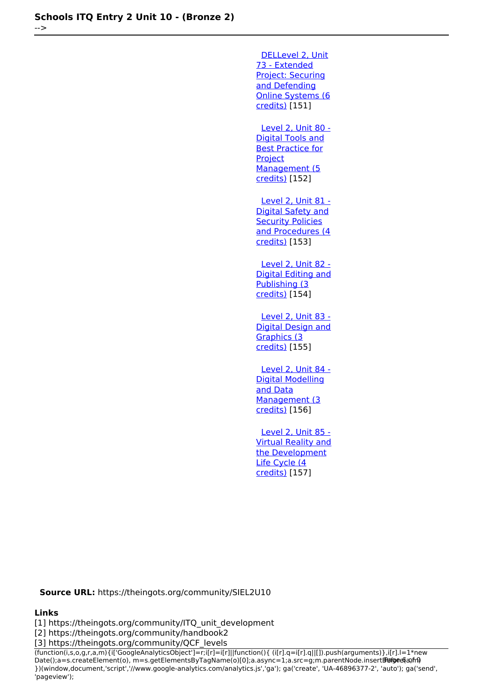-->

 [DELLevel 2, Unit](https://theingots.org/community/sil2u73) [73 - Extended](https://theingots.org/community/sil2u73) [Project: Securing](https://theingots.org/community/sil2u73) [and Defending](https://theingots.org/community/sil2u73) [Online Systems \(6](https://theingots.org/community/sil2u73) [credits\)](https://theingots.org/community/sil2u73) [151] [Level 2, Unit 80 -](https://theingots.org/community/sil2u80) [Digital Tools and](https://theingots.org/community/sil2u80) [Best Practice for](https://theingots.org/community/sil2u80) **[Project](https://theingots.org/community/sil2u80)** 

[Management \(5](https://theingots.org/community/sil2u80) [credits\)](https://theingots.org/community/sil2u80) [152]

 [Level 2, Unit 81 -](https://theingots.org/community/sil2u81) [Digital Safety and](https://theingots.org/community/sil2u81) **[Security Policies](https://theingots.org/community/sil2u81)** [and Procedures \(4](https://theingots.org/community/sil2u81) [credits\)](https://theingots.org/community/sil2u81) [153]

 [Level 2, Unit 82 -](https://theingots.org/community/sil2u82) [Digital Editing and](https://theingots.org/community/sil2u82) [Publishing \(3](https://theingots.org/community/sil2u82) [credits\)](https://theingots.org/community/sil2u82) [154]

 [Level 2, Unit 83 -](https://theingots.org/community/sil2u83) [Digital Design and](https://theingots.org/community/sil2u83) [Graphics \(3](https://theingots.org/community/sil2u83) [credits\)](https://theingots.org/community/sil2u83) [155]

 [Level 2, Unit 84 -](https://theingots.org/community/sil2u84) [Digital Modelling](https://theingots.org/community/sil2u84) [and Data](https://theingots.org/community/sil2u84) [Management \(3](https://theingots.org/community/sil2u84) [credits\)](https://theingots.org/community/sil2u84) [156]

 [Level 2, Unit 85 -](https://theingots.org/community/sil2u85) [Virtual Reality and](https://theingots.org/community/sil2u85) [the Development](https://theingots.org/community/sil2u85) [Life Cycle \(4](https://theingots.org/community/sil2u85) [credits\)](https://theingots.org/community/sil2u85) [157]

**Source URL:** https://theingots.org/community/SIEL2U10

#### **Links**

[1] https://theingots.org/community/ITQ\_unit\_development

[2] https://theingots.org/community/handbook2

[3] https://theingots.org/community/QCF\_levels

(function(i,s,o,g,r,a,m){i['GoogleAnalyticsObject']=r;i[r]=i[r]||function(){ (i[r].q=i[r].q||[]).push(arguments)},i[r].l=1\*new Date();a=s.createElement(o), m=s.getElementsByTagName(o)[0];a.async=1;a.src=g;m.parentNode.insertBefore&aภfr9 })(window,document,'script','//www.google-analytics.com/analytics.js','ga'); ga('create', 'UA-46896377-2', 'auto'); ga('send', 'pageview');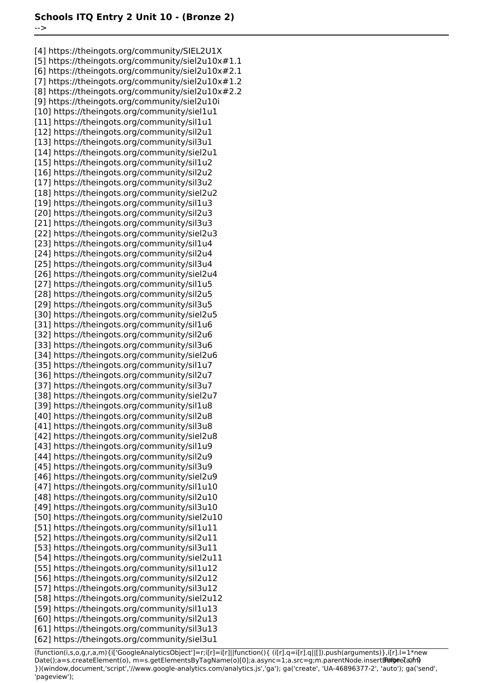-->

[4] https://theingots.org/community/SIEL2U1X [5] https://theingots.org/community/siel2u10x#1.1 [6] https://theingots.org/community/siel2u10x#2.1 [7] https://theingots.org/community/siel2u10x#1.2 [8] https://theingots.org/community/siel2u10x#2.2 [9] https://theingots.org/community/siel2u10i [10] https://theingots.org/community/siel1u1 [11] https://theingots.org/community/sil1u1 [12] https://theingots.org/community/sil2u1 [13] https://theingots.org/community/sil3u1 [14] https://theingots.org/community/siel2u1 [15] https://theingots.org/community/sil1u2 [16] https://theingots.org/community/sil2u2 [17] https://theingots.org/community/sil3u2 [18] https://theingots.org/community/siel2u2 [19] https://theingots.org/community/sil1u3 [20] https://theingots.org/community/sil2u3 [21] https://theingots.org/community/sil3u3 [22] https://theingots.org/community/siel2u3 [23] https://theingots.org/community/sil1u4 [24] https://theingots.org/community/sil2u4 [25] https://theingots.org/community/sil3u4 [26] https://theingots.org/community/siel2u4 [27] https://theingots.org/community/sil1u5 [28] https://theingots.org/community/sil2u5 [29] https://theingots.org/community/sil3u5 [30] https://theingots.org/community/siel2u5 [31] https://theingots.org/community/sil1u6 [32] https://theingots.org/community/sil2u6 [33] https://theingots.org/community/sil3u6 [34] https://theingots.org/community/siel2u6 [35] https://theingots.org/community/sil1u7 [36] https://theingots.org/community/sil2u7 [37] https://theingots.org/community/sil3u7 [38] https://theingots.org/community/siel2u7 [39] https://theingots.org/community/sil1u8 [40] https://theingots.org/community/sil2u8 [41] https://theingots.org/community/sil3u8 [42] https://theingots.org/community/siel2u8 [43] https://theingots.org/community/sil1u9 [44] https://theingots.org/community/sil2u9 [45] https://theingots.org/community/sil3u9 [46] https://theingots.org/community/siel2u9 [47] https://theingots.org/community/sil1u10 [48] https://theingots.org/community/sil2u10 [49] https://theingots.org/community/sil3u10 [50] https://theingots.org/community/siel2u10 [51] https://theingots.org/community/sil1u11 [52] https://theingots.org/community/sil2u11 [53] https://theingots.org/community/sil3u11 [54] https://theingots.org/community/siel2u11 [55] https://theingots.org/community/sil1u12 [56] https://theingots.org/community/sil2u12 [57] https://theingots.org/community/sil3u12 [58] https://theingots.org/community/siel2u12 [59] https://theingots.org/community/sil1u13 [60] https://theingots.org/community/sil2u13 [61] https://theingots.org/community/sil3u13 [62] https://theingots.org/community/siel3u1

(function(i,s,o,g,r,a,m){i['GoogleAnalyticsObject']=r;i[r]=i[r]||function(){ (i[r].q=i[r].q||[]).push(arguments)},i[r].l=1\*new Date();a=s.createElement(o), m=s.getElementsByTagName(o)[0];a.async=1;a.src=g;m.parentNode.insertBefore?aንfrዓ })(window,document,'script','//www.google-analytics.com/analytics.js','ga'); ga('create', 'UA-46896377-2', 'auto'); ga('send', 'pageview');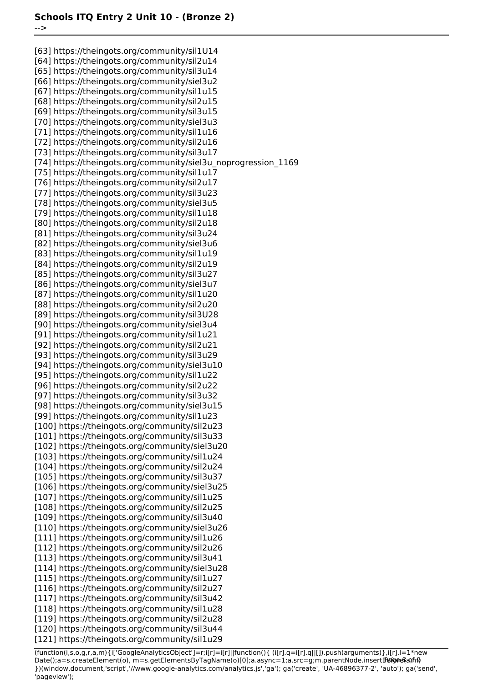-->

[63] https://theingots.org/community/sil1U14 [64] https://theingots.org/community/sil2u14 [65] https://theingots.org/community/sil3u14 [66] https://theingots.org/community/siel3u2 [67] https://theingots.org/community/sil1u15 [68] https://theingots.org/community/sil2u15 [69] https://theingots.org/community/sil3u15 [70] https://theingots.org/community/siel3u3 [71] https://theingots.org/community/sil1u16 [72] https://theingots.org/community/sil2u16 [73] https://theingots.org/community/sil3u17 [74] https://theingots.org/community/siel3u\_noprogression\_1169 [75] https://theingots.org/community/sil1u17 [76] https://theingots.org/community/sil2u17 [77] https://theingots.org/community/sil3u23 [78] https://theingots.org/community/siel3u5 [79] https://theingots.org/community/sil1u18 [80] https://theingots.org/community/sil2u18 [81] https://theingots.org/community/sil3u24 [82] https://theingots.org/community/siel3u6 [83] https://theingots.org/community/sil1u19 [84] https://theingots.org/community/sil2u19 [85] https://theingots.org/community/sil3u27 [86] https://theingots.org/community/siel3u7 [87] https://theingots.org/community/sil1u20 [88] https://theingots.org/community/sil2u20 [89] https://theingots.org/community/sil3U28 [90] https://theingots.org/community/siel3u4 [91] https://theingots.org/community/sil1u21 [92] https://theingots.org/community/sil2u21 [93] https://theingots.org/community/sil3u29 [94] https://theingots.org/community/siel3u10 [95] https://theingots.org/community/sil1u22 [96] https://theingots.org/community/sil2u22 [97] https://theingots.org/community/sil3u32 [98] https://theingots.org/community/siel3u15 [99] https://theingots.org/community/sil1u23 [100] https://theingots.org/community/sil2u23 [101] https://theingots.org/community/sil3u33 [102] https://theingots.org/community/siel3u20 [103] https://theingots.org/community/sil1u24 [104] https://theingots.org/community/sil2u24 [105] https://theingots.org/community/sil3u37 [106] https://theingots.org/community/siel3u25 [107] https://theingots.org/community/sil1u25 [108] https://theingots.org/community/sil2u25 [109] https://theingots.org/community/sil3u40 [110] https://theingots.org/community/siel3u26 [111] https://theingots.org/community/sil1u26 [112] https://theingots.org/community/sil2u26 [113] https://theingots.org/community/sil3u41 [114] https://theingots.org/community/siel3u28 [115] https://theingots.org/community/sil1u27 [116] https://theingots.org/community/sil2u27 [117] https://theingots.org/community/sil3u42 [118] https://theingots.org/community/sil1u28 [119] https://theingots.org/community/sil2u28 [120] https://theingots.org/community/sil3u44 [121] https://theingots.org/community/sil1u29

(function(i,s,o,g,r,a,m){i['GoogleAnalyticsObject']=r;i[r]=i[r]||function(){ (i[r].q=i[r].q||[]).push(arguments)},i[r].l=1\*new Date();a=s.createElement(o), m=s.getElementsByTagName(o)[0];a.async=1;a.src=g;m.parentNode.insertBefore&aภfr9 })(window,document,'script','//www.google-analytics.com/analytics.js','ga'); ga('create', 'UA-46896377-2', 'auto'); ga('send', 'pageview');